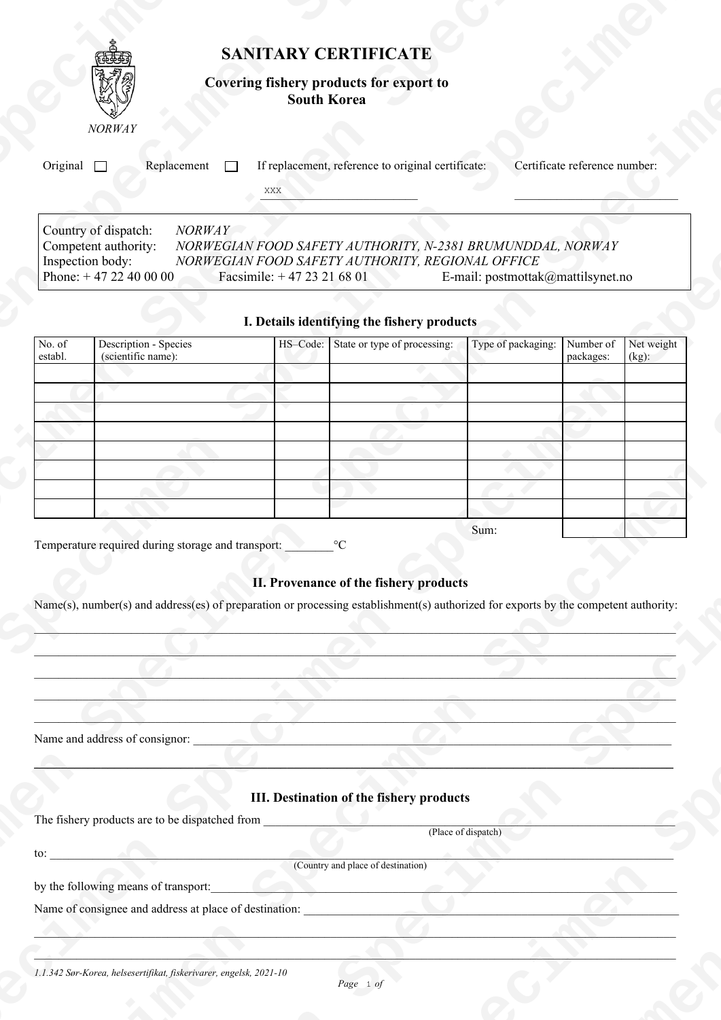| SANITARY CERTIFICATE                                                                                                                                                                                                                                                                                                                                                                                                                                                                                                                                                                                                                                                                                                                           |  |
|------------------------------------------------------------------------------------------------------------------------------------------------------------------------------------------------------------------------------------------------------------------------------------------------------------------------------------------------------------------------------------------------------------------------------------------------------------------------------------------------------------------------------------------------------------------------------------------------------------------------------------------------------------------------------------------------------------------------------------------------|--|
|                                                                                                                                                                                                                                                                                                                                                                                                                                                                                                                                                                                                                                                                                                                                                |  |
|                                                                                                                                                                                                                                                                                                                                                                                                                                                                                                                                                                                                                                                                                                                                                |  |
|                                                                                                                                                                                                                                                                                                                                                                                                                                                                                                                                                                                                                                                                                                                                                |  |
|                                                                                                                                                                                                                                                                                                                                                                                                                                                                                                                                                                                                                                                                                                                                                |  |
|                                                                                                                                                                                                                                                                                                                                                                                                                                                                                                                                                                                                                                                                                                                                                |  |
|                                                                                                                                                                                                                                                                                                                                                                                                                                                                                                                                                                                                                                                                                                                                                |  |
|                                                                                                                                                                                                                                                                                                                                                                                                                                                                                                                                                                                                                                                                                                                                                |  |
|                                                                                                                                                                                                                                                                                                                                                                                                                                                                                                                                                                                                                                                                                                                                                |  |
| <b>Covering fishery products for export to<br/>South Korea</b><br>84 N<br><b>NORWAY</b><br>Original Replacement T If replacement, reference to original certificate: Certificate reference number:                                                                                                                                                                                                                                                                                                                                                                                                                                                                                                                                             |  |
| <b>XXX</b><br>the contract of the contract of the<br><u> Andrew Marian Maria (1986)</u><br>and the company's company's com-<br>Country of dispatch: NORWAY<br>Competent authority: NORWEGIAN FOOD SAFETY AUTHORITY, N-2381 BRUMUNDDAL, NORWAY<br>Inspection body:<br>NORWEGIAN FOOD SAFETY AUTHORITY, REGIONAL OFFICE<br>Phone: $+ 47 22 40 00 00$ Facsimile: $+ 47 23 21 68 01$<br>E-mail: postmottak@mattilsynet.no                                                                                                                                                                                                                                                                                                                          |  |
| I. Details identifying the fishery products<br>No. of Description - Species<br>establ. (scientific name):<br>HS-Code: State or type of processing: Type of packaging: Number of Net weight packages: (kg):<br>The property of the control of<br>_____<br><b><i>Committee Committee States</i></b><br>$\overline{\phantom{a}}$<br>the contract of the contract of the contract of<br>the control of the control of the<br>and the contract of the contract of                                                                                                                                                                                                                                                                                   |  |
| the contract of the contract of the contract of<br><b>Contract Contract Contract Contract</b><br>the contract of the contract of the contract of<br>and the control of the control of<br>$    -$<br>the contract of the contract of the<br><b>Contract Contract Contract Contract</b><br>____<br>____<br><u>a sa Kabupatén Ing Pangalang Kabupatén Ing Kabupatén Ing Kabupatén Ing Kabupatén Ing Kabupatén Ing Kabupatén Ing Kabupatén Ing Kabupatén Ing Kabupatén Ing Kabupatén Ing Kabupatén Ing Kabupatén Ing Kabupatén Ing Kabupatén </u><br>Sum:<br>II. Provenance of the fishery products<br>Name(s), number(s) and address(es) of preparation or processing establishment(s) authorized for exports by the competent authority:<br>____ |  |
| Name and address of consignor:<br><u> 1979 - Jan Stein Stein Stein Stein Stein Stein Stein Stein Stein Stein Stein Stein Stein Stein Stein Stein Stein Stein Stein Stein Stein Stein Stein Stein Stein Stein Stein Stein Stein Stein Stein Stein Stein Stein Stein</u><br><b>Contract Contract Contract Contract</b><br>III. Destination of the fishery products<br>(Place of dispatch)                                                                                                                                                                                                                                                                                                                                                        |  |
| (Country and place of destination)<br>by the following means of transport:<br>Name of consignee and address at place of destination:<br>1.1.342 Sør-Korea, helsesertifikat, fiskerivarer, engelsk, 2021-10<br>Page 1 of<br><b>Service</b>                                                                                                                                                                                                                                                                                                                                                                                                                                                                                                      |  |

## **I. Details identifying the fishery products**

| No. of<br>establ. | Description - Species<br>(scientific name): | HS-Code: State or type of processing: | Type of packaging: | Number of<br>packages: | Net weight<br>$(kg)$ : |
|-------------------|---------------------------------------------|---------------------------------------|--------------------|------------------------|------------------------|
|                   |                                             |                                       |                    |                        |                        |
|                   |                                             |                                       |                    |                        |                        |
|                   |                                             |                                       |                    |                        |                        |
|                   |                                             |                                       |                    |                        |                        |
|                   |                                             |                                       |                    |                        |                        |
|                   |                                             |                                       |                    |                        |                        |
|                   |                                             |                                       |                    |                        |                        |
|                   |                                             |                                       |                    |                        |                        |
|                   |                                             |                                       | Sum:               |                        |                        |

## **II. Provenance of the fishery products**

## **III. Destination of the fishery products**